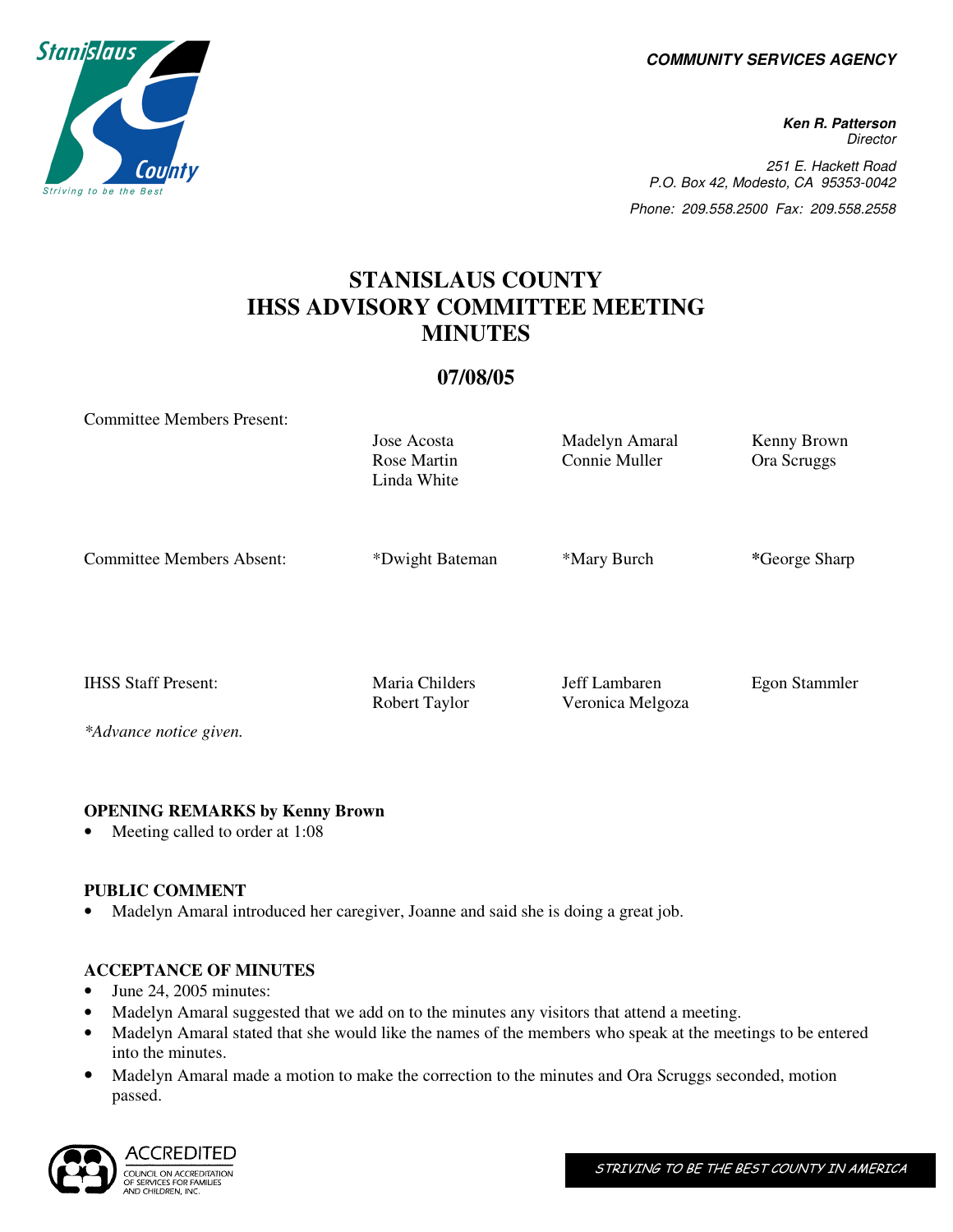**COMMUNITY SERVICES AGENCY** 

**Ken R. Patterson Director** 251 E. Hackett Road P.O. Box 42, Modesto, CA 95353-0042 Phone: 209.558.2500 Fax: 209.558.2558

# **STANISLAUS COUNTY IHSS ADVISORY COMMITTEE MEETING MINUTES**

## **07/08/05**

Committee Members Present:

Linda White Committee Members Absent: \*Dwight Bateman \*Mary Burch \*George Sharp

Rose Martin

IHSS Staff Present: Maria Childers Jeff Lambaren Egon Stammler

*\*Advance notice given.* 

### **OPENING REMARKS by Kenny Brown**

Meeting called to order at 1:08

### **PUBLIC COMMENT**

• Madelyn Amaral introduced her caregiver, Joanne and said she is doing a great job.

### **ACCEPTANCE OF MINUTES**

- June 24, 2005 minutes:
- Madelyn Amaral suggested that we add on to the minutes any visitors that attend a meeting.
- Madelyn Amaral stated that she would like the names of the members who speak at the meetings to be entered into the minutes.
- Madelyn Amaral made a motion to make the correction to the minutes and Ora Scruggs seconded, motion passed.





Robert Taylor Veronica Melgoza

Jose Acosta Madelyn Amaral Kenny Brown

Connie Muller Ora Scruggs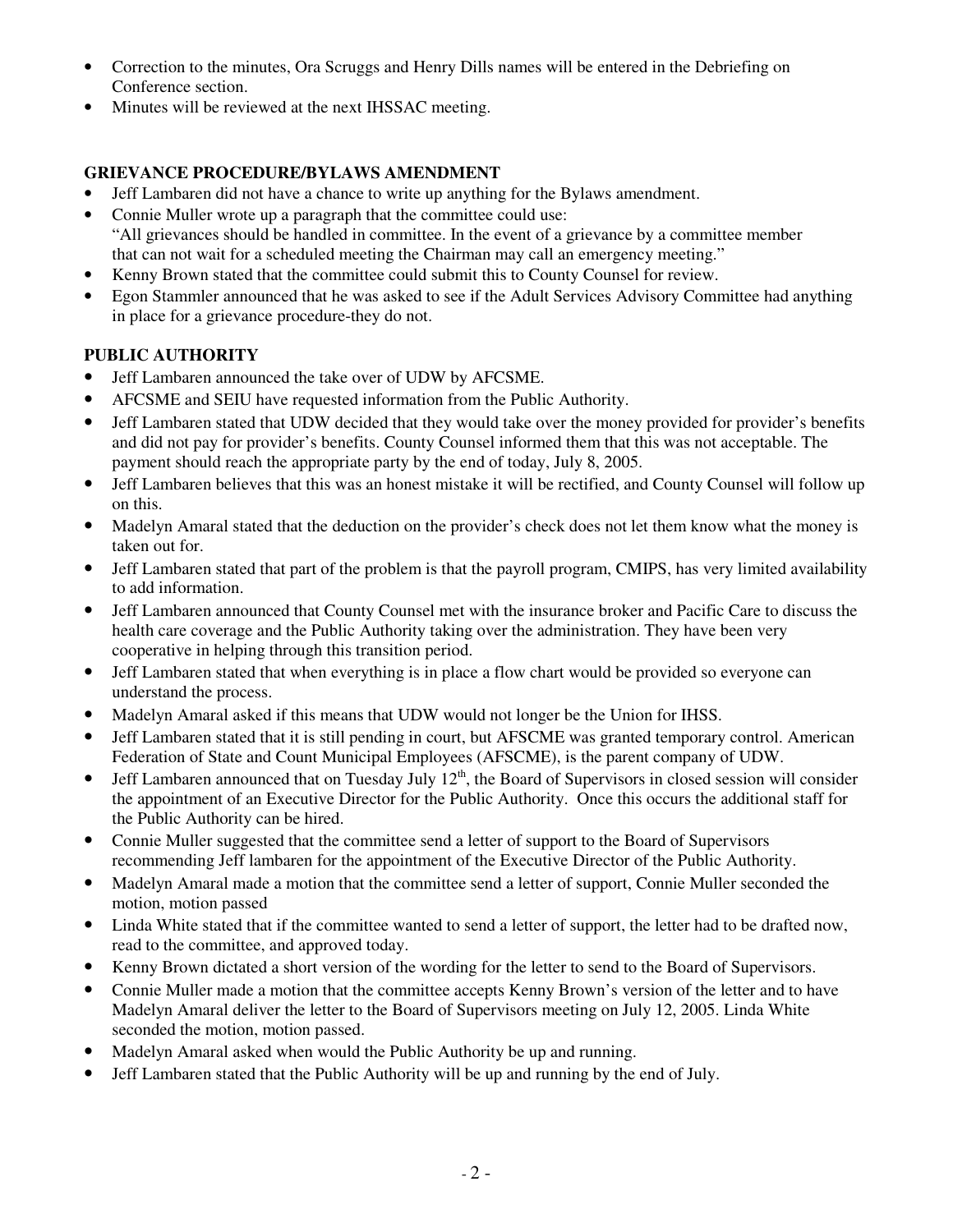- Correction to the minutes, Ora Scruggs and Henry Dills names will be entered in the Debriefing on Conference section.
- Minutes will be reviewed at the next IHSSAC meeting.

# **GRIEVANCE PROCEDURE/BYLAWS AMENDMENT**

- Jeff Lambaren did not have a chance to write up anything for the Bylaws amendment.
- Connie Muller wrote up a paragraph that the committee could use: "All grievances should be handled in committee. In the event of a grievance by a committee member that can not wait for a scheduled meeting the Chairman may call an emergency meeting."
- Kenny Brown stated that the committee could submit this to County Counsel for review.
- Egon Stammler announced that he was asked to see if the Adult Services Advisory Committee had anything in place for a grievance procedure-they do not.

# **PUBLIC AUTHORITY**

- Jeff Lambaren announced the take over of UDW by AFCSME.
- AFCSME and SEIU have requested information from the Public Authority.
- Jeff Lambaren stated that UDW decided that they would take over the money provided for provider's benefits and did not pay for provider's benefits. County Counsel informed them that this was not acceptable. The payment should reach the appropriate party by the end of today, July 8, 2005.
- Jeff Lambaren believes that this was an honest mistake it will be rectified, and County Counsel will follow up on this.
- Madelyn Amaral stated that the deduction on the provider's check does not let them know what the money is taken out for.
- Jeff Lambaren stated that part of the problem is that the payroll program, CMIPS, has very limited availability to add information.
- Jeff Lambaren announced that County Counsel met with the insurance broker and Pacific Care to discuss the health care coverage and the Public Authority taking over the administration. They have been very cooperative in helping through this transition period.
- Jeff Lambaren stated that when everything is in place a flow chart would be provided so everyone can understand the process.
- Madelyn Amaral asked if this means that UDW would not longer be the Union for IHSS.
- Jeff Lambaren stated that it is still pending in court, but AFSCME was granted temporary control. American Federation of State and Count Municipal Employees (AFSCME), is the parent company of UDW.
- Jeff Lambaren announced that on Tuesday July  $12<sup>th</sup>$ , the Board of Supervisors in closed session will consider the appointment of an Executive Director for the Public Authority. Once this occurs the additional staff for the Public Authority can be hired.
- Connie Muller suggested that the committee send a letter of support to the Board of Supervisors recommending Jeff lambaren for the appointment of the Executive Director of the Public Authority.
- Madelyn Amaral made a motion that the committee send a letter of support, Connie Muller seconded the motion, motion passed
- Linda White stated that if the committee wanted to send a letter of support, the letter had to be drafted now, read to the committee, and approved today.
- Kenny Brown dictated a short version of the wording for the letter to send to the Board of Supervisors.
- Connie Muller made a motion that the committee accepts Kenny Brown's version of the letter and to have Madelyn Amaral deliver the letter to the Board of Supervisors meeting on July 12, 2005. Linda White seconded the motion, motion passed.
- Madelyn Amaral asked when would the Public Authority be up and running.
- Jeff Lambaren stated that the Public Authority will be up and running by the end of July.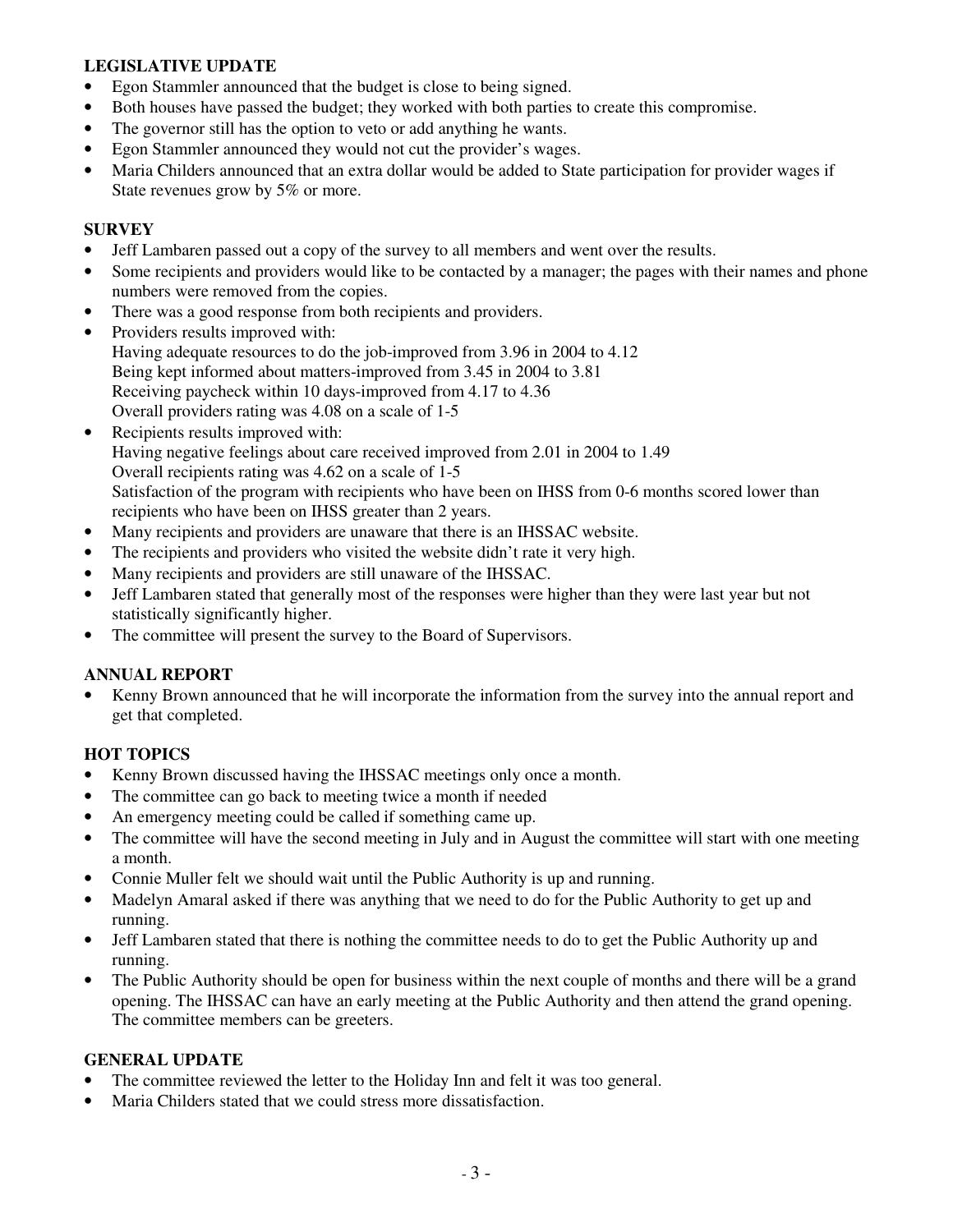### **LEGISLATIVE UPDATE**

- Egon Stammler announced that the budget is close to being signed.
- Both houses have passed the budget; they worked with both parties to create this compromise.
- The governor still has the option to veto or add anything he wants.
- Egon Stammler announced they would not cut the provider's wages.
- Maria Childers announced that an extra dollar would be added to State participation for provider wages if State revenues grow by 5% or more.

### **SURVEY**

- Jeff Lambaren passed out a copy of the survey to all members and went over the results.
- Some recipients and providers would like to be contacted by a manager; the pages with their names and phone numbers were removed from the copies.
- There was a good response from both recipients and providers.
- Providers results improved with: Having adequate resources to do the job-improved from 3.96 in 2004 to 4.12 Being kept informed about matters-improved from 3.45 in 2004 to 3.81 Receiving paycheck within 10 days-improved from 4.17 to 4.36 Overall providers rating was 4.08 on a scale of 1-5
- Recipients results improved with: Having negative feelings about care received improved from 2.01 in 2004 to 1.49 Overall recipients rating was 4.62 on a scale of 1-5 Satisfaction of the program with recipients who have been on IHSS from 0-6 months scored lower than recipients who have been on IHSS greater than 2 years.
- Many recipients and providers are unaware that there is an IHSSAC website.
- The recipients and providers who visited the website didn't rate it very high.
- Many recipients and providers are still unaware of the IHSSAC.
- Jeff Lambaren stated that generally most of the responses were higher than they were last year but not statistically significantly higher.
- The committee will present the survey to the Board of Supervisors.

### **ANNUAL REPORT**

• Kenny Brown announced that he will incorporate the information from the survey into the annual report and get that completed.

### **HOT TOPICS**

- Kenny Brown discussed having the IHSSAC meetings only once a month.
- The committee can go back to meeting twice a month if needed
- An emergency meeting could be called if something came up.
- The committee will have the second meeting in July and in August the committee will start with one meeting a month.
- Connie Muller felt we should wait until the Public Authority is up and running.
- Madelyn Amaral asked if there was anything that we need to do for the Public Authority to get up and running.
- Jeff Lambaren stated that there is nothing the committee needs to do to get the Public Authority up and running.
- The Public Authority should be open for business within the next couple of months and there will be a grand opening. The IHSSAC can have an early meeting at the Public Authority and then attend the grand opening. The committee members can be greeters.

### **GENERAL UPDATE**

- The committee reviewed the letter to the Holiday Inn and felt it was too general.
- Maria Childers stated that we could stress more dissatisfaction.